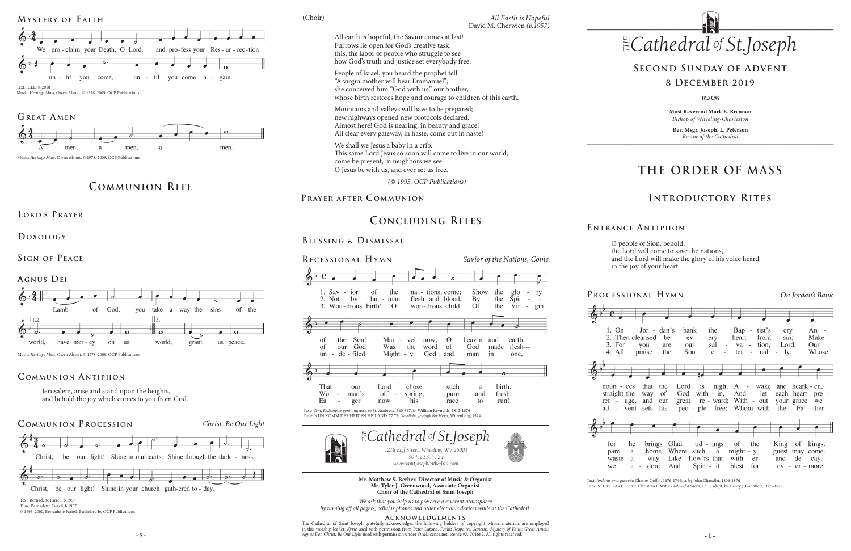# **THE ORDER OF MASS**

# **Introductory Rites**

## **Second Sunday of Advent**

## **8 December 2019**

### 80CB

## **Processional Hymn** *On Jordan's Bank*







noun straight  $ref -$ 



ad

pare waste we



O people of Sion, behold, the Lord will come to save the nations, and the Lord will make the glory of his voice heard in the joy of your heart.

**E ntrance A ntiphon**

**Most Reverend Mark E. Brennan** *Bishop of Wheeling-Charleston*

**Rev. Msgr. Joseph. L. Peterson** *Rector of the Cathedral*



**Mr. Matthew S. Berher, Director of Music & Organist Mr. Tyler J. Greenwood, Associate Organist Choir of the Cathedral of Saint Joseph**

*We ask that you help us to preserve a reverent atmosphere by turning off all pagers, cellular phones and other electronic devices while at the Cathedral.*

### **Acknowledgements**

**- 5 - - 1 -** *Agnus Dei; Christ, Be Our Light* used with permission under OneLicense.net license #A-701662. All rights reserved. The Cathedral of Saint Joseph gratefully acknowledges the following holders of copyright whose materials are employed<br>in this worship leaflet: *Kyrie* used with permission from Peter Latona. *Psalm Response; Sanctus; Myste* 

### *David M. C*<br> *omes at last! of .Joseph* David M. Cherwien *(b.1957) All Earth is Hopeful*

|                            | $Jor - dan's$<br>en cleansed<br>you<br>praise      | be<br>are<br>the        | bank<br>$ev -$<br>our<br>Son                                     | the<br>ery<br>sal<br>$\overline{a}$<br>e<br>$\overline{\phantom{a}}$ | heart<br>ter                                | Bap - tist's<br>from<br>va - tion,<br>$-$ nal $-$ ly, | cry<br>sin:<br>Lord,                               | An<br>Make<br>Our<br>Whose    |
|----------------------------|----------------------------------------------------|-------------------------|------------------------------------------------------------------|----------------------------------------------------------------------|---------------------------------------------|-------------------------------------------------------|----------------------------------------------------|-------------------------------|
| ces<br>the<br>uge,<br>vent | that<br>way<br>and<br>sets                         | the<br>of<br>our<br>his | Lord is nigh;<br>God<br>great re - ward; With - out<br>peo - ple | with $-$ in,                                                         | And                                         | A - wake<br>let<br>free; Whom with the                | and heark - en,<br>your grace we                   | each heart pre -<br>Fa - ther |
| he<br>a<br>a<br>a          | brings<br>home<br>way<br>$\qquad \qquad -$<br>dore | Where<br>Like<br>And    | Glad tid - ings                                                  | such a<br>flow'rs that<br>$Spir - it$                                | of the<br>$might - y$<br>with - er<br>blest | for                                                   | King of kings.<br>guest may come.<br>and de - cay. | ev - er - more.               |

Text: *Jordanis oras praevia*; Charles Coffin, 1676-1749; tr. by John Chandler, 1806-1876

 *Cathedral St THE* All earth is hopeful, the Savior comes at last!

Tune: STUTTGART, 8 7 8 7; Christian F. Witt's *Psalmodia Sacra*, 1715; adapt. by Henry J. Gauntlett, 1805-1876



## **Communion Procession** *Christ, Be Our Light*





## **Communion Antiphon**

# **Communion Rite**

**Lord's Prayer**

**Doxology** 

**Sign of Peace** 



Music: *Heritage Mass*, Owen Alstott, © 1978, 2009, OCP Publications

Jerusalem, arise and stand upon the heights, and behold the joy which comes to you from God.



Text: Bernadette Farrell, b.1957 Tune: Bernadette Farrell, b.1957 © 1993, 2000, Bernadette Farrell. Published by OCP Publications

**Mystery of F aith**





Music: *Heritage Mass*, Owen Alstott, © 1978, 2009, OCP Publications

# GREAT AMEN

Music: *Heritage Mass*, Owen Alstott, © 1978, 2009, OCP Publications

Furrows lie open for God's creative task: this, the labor of people who struggle to see how God's truth and justice set everybody free. People of Israel, you heard the prophet tell: "A virgin mother will bear Emmanuel"; she conceived him "God with us," our brother,

PRAYER AFTER COMMUNION

whose birth restores hope and courage to children of this earth.

Mountains and valleys will have to be prepared; new highways opened new protocols declared. Almost here! God is nearing, in beauty and grace! All clear every gateway, in haste, come out in haste!

We shall we Jesus a baby in a crib.

This same Lord Jesus so soon will come to live in our world;

come be present, in neighbors we see O Jesus be with us, and ever set us free.

*(© 1995, OCP Publications)*